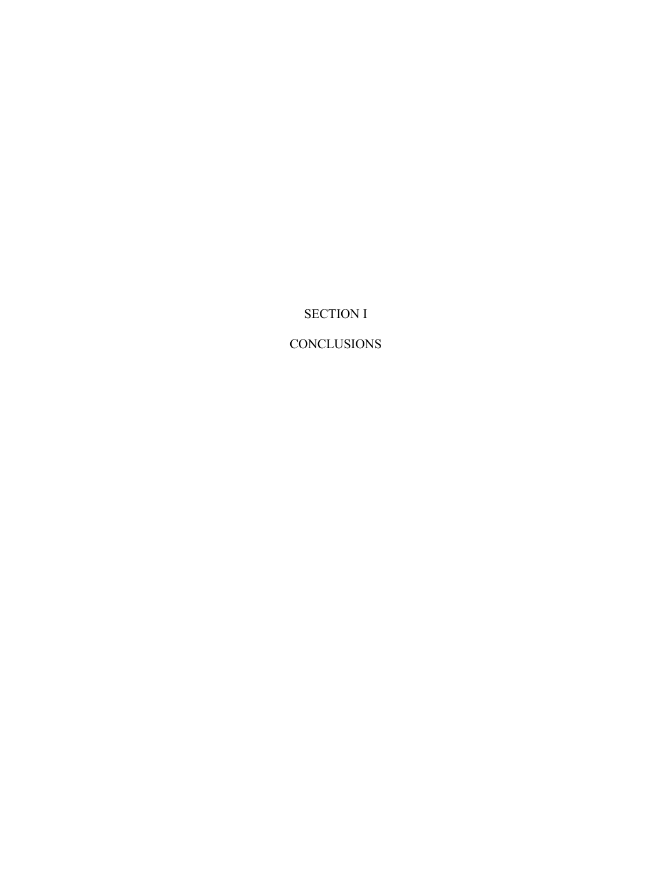SECTION I

**CONCLUSIONS**